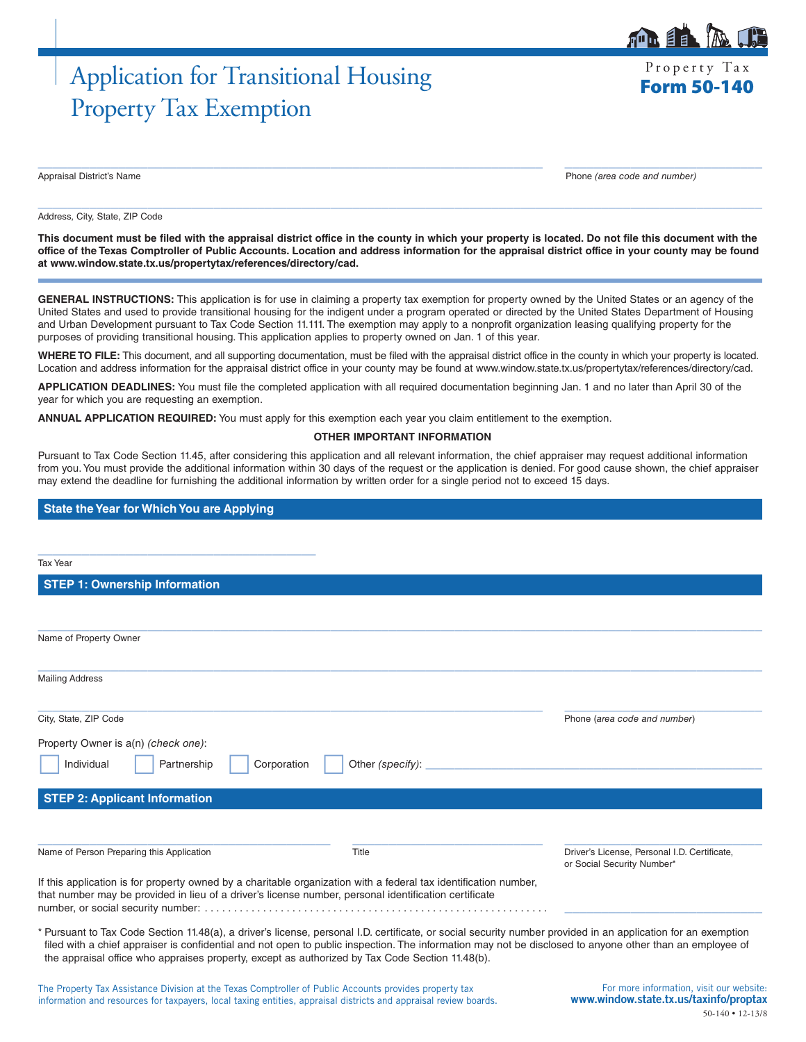# Application for Transitional Housing Free Property Tax Property Tax Exemption

Property Tax

 $\mathbf{B}$ 

Appraisal District's Name Phone *(area code and number)*

Address, City, State, ZIP Code

**This document must be filed with the appraisal district office in the county in which your property is located. Do not file this document with the office of the Texas Comptroller of Public Accounts. Location and address information for the appraisal district office in your county may be found at www.window.state.tx.us/propertytax/references/directory/cad.**

 $\_$  , and the set of the set of the set of the set of the set of the set of the set of the set of the set of the set of the set of the set of the set of the set of the set of the set of the set of the set of the set of th

 $\_$  , and the set of the set of the set of the set of the set of the set of the set of the set of the set of the set of the set of the set of the set of the set of the set of the set of the set of the set of the set of th

**GENERAL INSTRUCTIONS:** This application is for use in claiming a property tax exemption for property owned by the United States or an agency of the United States and used to provide transitional housing for the indigent under a program operated or directed by the United States Department of Housing and Urban Development pursuant to Tax Code Section 11.111. The exemption may apply to a nonprofit organization leasing qualifying property for the purposes of providing transitional housing. This application applies to property owned on Jan. 1 of this year.

**WHERE TO FILE:** This document, and all supporting documentation, must be filed with the appraisal district office in the county in which your property is located. Location and address information for the appraisal district office in your county may be found at www.window.state.tx.us/propertytax/references/directory/cad.

**APPLICATION DEADLINES:** You must file the completed application with all required documentation beginning Jan. 1 and no later than April 30 of the year for which you are requesting an exemption.

**ANNUAL APPLICATION REQUIRED:** You must apply for this exemption each year you claim entitlement to the exemption.

#### **OTHER IMPORTANT INFORMATION**

Pursuant to Tax Code Section 11.45, after considering this application and all relevant information, the chief appraiser may request additional information from you. You must provide the additional information within 30 days of the request or the application is denied. For good cause shown, the chief appraiser may extend the deadline for furnishing the additional information by written order for a single period not to exceed 15 days.

#### **State the Year for Which You are Applying**

| <b>Tax Year</b>                                                                                                                                                                                                                                                                                                                                                                                                              |                  |                                                                            |
|------------------------------------------------------------------------------------------------------------------------------------------------------------------------------------------------------------------------------------------------------------------------------------------------------------------------------------------------------------------------------------------------------------------------------|------------------|----------------------------------------------------------------------------|
| <b>STEP 1: Ownership Information</b>                                                                                                                                                                                                                                                                                                                                                                                         |                  |                                                                            |
|                                                                                                                                                                                                                                                                                                                                                                                                                              |                  |                                                                            |
| Name of Property Owner                                                                                                                                                                                                                                                                                                                                                                                                       |                  |                                                                            |
| <b>Mailing Address</b>                                                                                                                                                                                                                                                                                                                                                                                                       |                  |                                                                            |
| City, State, ZIP Code                                                                                                                                                                                                                                                                                                                                                                                                        |                  | Phone (area code and number)                                               |
| Property Owner is a(n) (check one):<br>Individual<br>Partnership<br>Corporation                                                                                                                                                                                                                                                                                                                                              | Other (specify): |                                                                            |
| <b>STEP 2: Applicant Information</b>                                                                                                                                                                                                                                                                                                                                                                                         |                  |                                                                            |
| Name of Person Preparing this Application                                                                                                                                                                                                                                                                                                                                                                                    | Title            | Driver's License, Personal I.D. Certificate,<br>or Social Security Number* |
| If this application is for property owned by a charitable organization with a federal tax identification number,<br>that number may be provided in lieu of a driver's license number, personal identification certificate                                                                                                                                                                                                    |                  |                                                                            |
| * Pursuant to Tax Code Section 11.48(a), a driver's license, personal I.D. certificate, or social security number provided in an application for an exemption<br>filed with a chief appraiser is confidential and not open to public inspection. The information may not be disclosed to anyone other than an employee of<br>the appraisal office who appraises property, except as authorized by Tax Code Section 11.48(b). |                  |                                                                            |